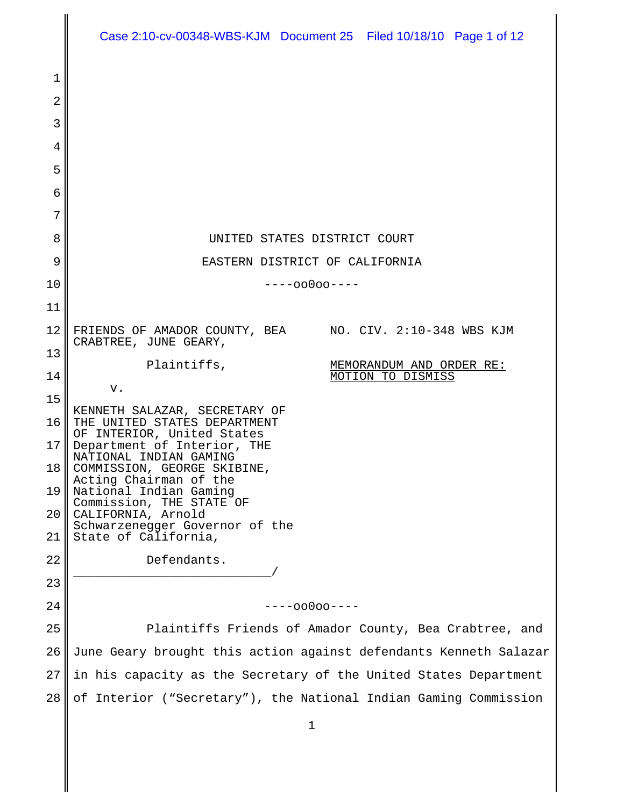| 1<br>2<br>3<br>4<br>5<br>6<br>7<br>8<br>UNITED STATES DISTRICT COURT<br>9<br>EASTERN DISTRICT OF CALIFORNIA<br>10<br>$---00000---$<br>11<br>12<br>FRIENDS OF AMADOR COUNTY, BEA NO. CIV. 2:10-348 WBS KJM<br>CRABTREE, JUNE GEARY,<br>13<br>Plaintiffs,<br>MEMORANDUM AND ORDER RE:<br>14<br>MOTION TO DISMISS<br>v.<br>15<br>KENNETH SALAZAR, SECRETARY OF<br>16<br>THE UNITED STATES DEPARTMENT<br>OF INTERIOR, United States<br>17<br>Department of Interior, THE<br>NATIONAL INDIAN GAMING<br>18<br>COMMISSION, GEORGE SKIBINE,<br>Acting Chairman of the<br>19<br>National Indian Gaming<br>Commission, THE STATE OF<br>CALIFORNIA, Arnold<br>20<br>Schwarzenegger Governor of the<br>State of California,<br>21<br>22<br>Defendants.<br>23<br>24<br>----00000----<br>25<br>Plaintiffs Friends of Amador County, Bea Crabtree, and | Case 2:10-cv-00348-WBS-KJM  Document 25  Filed 10/18/10  Page 1 of 12 |
|-----------------------------------------------------------------------------------------------------------------------------------------------------------------------------------------------------------------------------------------------------------------------------------------------------------------------------------------------------------------------------------------------------------------------------------------------------------------------------------------------------------------------------------------------------------------------------------------------------------------------------------------------------------------------------------------------------------------------------------------------------------------------------------------------------------------------------------------|-----------------------------------------------------------------------|
|                                                                                                                                                                                                                                                                                                                                                                                                                                                                                                                                                                                                                                                                                                                                                                                                                                         |                                                                       |
|                                                                                                                                                                                                                                                                                                                                                                                                                                                                                                                                                                                                                                                                                                                                                                                                                                         |                                                                       |
|                                                                                                                                                                                                                                                                                                                                                                                                                                                                                                                                                                                                                                                                                                                                                                                                                                         |                                                                       |
|                                                                                                                                                                                                                                                                                                                                                                                                                                                                                                                                                                                                                                                                                                                                                                                                                                         |                                                                       |
|                                                                                                                                                                                                                                                                                                                                                                                                                                                                                                                                                                                                                                                                                                                                                                                                                                         |                                                                       |
|                                                                                                                                                                                                                                                                                                                                                                                                                                                                                                                                                                                                                                                                                                                                                                                                                                         |                                                                       |
|                                                                                                                                                                                                                                                                                                                                                                                                                                                                                                                                                                                                                                                                                                                                                                                                                                         |                                                                       |
|                                                                                                                                                                                                                                                                                                                                                                                                                                                                                                                                                                                                                                                                                                                                                                                                                                         |                                                                       |
|                                                                                                                                                                                                                                                                                                                                                                                                                                                                                                                                                                                                                                                                                                                                                                                                                                         |                                                                       |
|                                                                                                                                                                                                                                                                                                                                                                                                                                                                                                                                                                                                                                                                                                                                                                                                                                         |                                                                       |
|                                                                                                                                                                                                                                                                                                                                                                                                                                                                                                                                                                                                                                                                                                                                                                                                                                         |                                                                       |
|                                                                                                                                                                                                                                                                                                                                                                                                                                                                                                                                                                                                                                                                                                                                                                                                                                         |                                                                       |
|                                                                                                                                                                                                                                                                                                                                                                                                                                                                                                                                                                                                                                                                                                                                                                                                                                         |                                                                       |
|                                                                                                                                                                                                                                                                                                                                                                                                                                                                                                                                                                                                                                                                                                                                                                                                                                         |                                                                       |
|                                                                                                                                                                                                                                                                                                                                                                                                                                                                                                                                                                                                                                                                                                                                                                                                                                         |                                                                       |
|                                                                                                                                                                                                                                                                                                                                                                                                                                                                                                                                                                                                                                                                                                                                                                                                                                         |                                                                       |
|                                                                                                                                                                                                                                                                                                                                                                                                                                                                                                                                                                                                                                                                                                                                                                                                                                         |                                                                       |
|                                                                                                                                                                                                                                                                                                                                                                                                                                                                                                                                                                                                                                                                                                                                                                                                                                         |                                                                       |
|                                                                                                                                                                                                                                                                                                                                                                                                                                                                                                                                                                                                                                                                                                                                                                                                                                         |                                                                       |
|                                                                                                                                                                                                                                                                                                                                                                                                                                                                                                                                                                                                                                                                                                                                                                                                                                         |                                                                       |
|                                                                                                                                                                                                                                                                                                                                                                                                                                                                                                                                                                                                                                                                                                                                                                                                                                         |                                                                       |
|                                                                                                                                                                                                                                                                                                                                                                                                                                                                                                                                                                                                                                                                                                                                                                                                                                         |                                                                       |
|                                                                                                                                                                                                                                                                                                                                                                                                                                                                                                                                                                                                                                                                                                                                                                                                                                         |                                                                       |
|                                                                                                                                                                                                                                                                                                                                                                                                                                                                                                                                                                                                                                                                                                                                                                                                                                         |                                                                       |
| 26<br>June Geary brought this action against defendants Kenneth Salazar                                                                                                                                                                                                                                                                                                                                                                                                                                                                                                                                                                                                                                                                                                                                                                 |                                                                       |
| 27<br>in his capacity as the Secretary of the United States Department                                                                                                                                                                                                                                                                                                                                                                                                                                                                                                                                                                                                                                                                                                                                                                  |                                                                       |
| 28<br>of Interior ("Secretary"), the National Indian Gaming Commission                                                                                                                                                                                                                                                                                                                                                                                                                                                                                                                                                                                                                                                                                                                                                                  |                                                                       |

║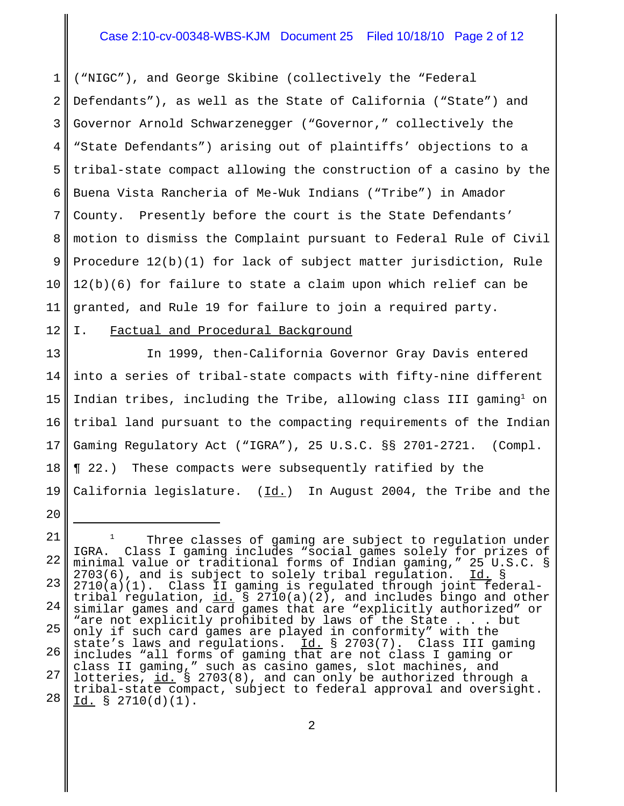# Case 2:10-cv-00348-WBS-KJM Document 25 Filed 10/18/10 Page 2 of 12

1 2 3 4 5 6 7 8 9 10 11 ("NIGC"), and George Skibine (collectively the "Federal Defendants"), as well as the State of California ("State") and Governor Arnold Schwarzenegger ("Governor," collectively the "State Defendants") arising out of plaintiffs' objections to a tribal-state compact allowing the construction of a casino by the Buena Vista Rancheria of Me-Wuk Indians ("Tribe") in Amador County. Presently before the court is the State Defendants' motion to dismiss the Complaint pursuant to Federal Rule of Civil Procedure 12(b)(1) for lack of subject matter jurisdiction, Rule 12(b)(6) for failure to state a claim upon which relief can be granted, and Rule 19 for failure to join a required party.

#### 12 I. Factual and Procedural Background

20

13 14 15 16 17 18 19 In 1999, then-California Governor Gray Davis entered into a series of tribal-state compacts with fifty-nine different Indian tribes, including the Tribe, allowing class III gaming<sup>1</sup> on tribal land pursuant to the compacting requirements of the Indian Gaming Regulatory Act ("IGRA"), 25 U.S.C. §§ 2701-2721. (Compl. ¶ 22.) These compacts were subsequently ratified by the California legislature.  $(Id.)$  In August 2004, the Tribe and the

<sup>21</sup> 22 23 24 25 26 27 28  $1$  Three classes of gaming are subject to regulation under IGRA. Class I gaming includes "social games solely for prizes of minimal value or traditional forms of Indian gaming," 25 U.S.C. §  $2703(6)$ , and is subject to solely tribal regulation. Id. § 2710(a)(1). Class II gaming is regulated through joint federaltribal regulation,  $id. \$  § 2710(a)(2), and includes bingo and other similar games and card games that are "explicitly authorized" or "are not explicitly prohibited by laws of the State . . . but only if such card games are played in conformity" with the state's laws and regulations. Id. § 2703(7). Class III gaming includes "all forms of gaming that are not class I gaming or class II gaming," such as casino games, slot machines, and lotteries, id. § 2703(8), and can only be authorized through a tribal-state compact, subject to federal approval and oversight. Id. § 2710(d)(1).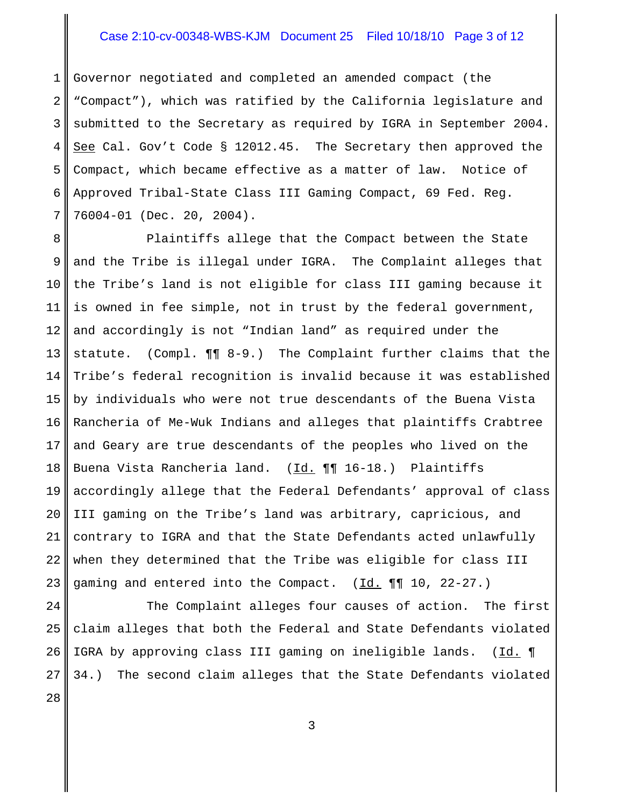# Case 2:10-cv-00348-WBS-KJM Document 25 Filed 10/18/10 Page 3 of 12

1 2 3 4 5 6 7 Governor negotiated and completed an amended compact (the "Compact"), which was ratified by the California legislature and submitted to the Secretary as required by IGRA in September 2004. See Cal. Gov't Code § 12012.45. The Secretary then approved the Compact, which became effective as a matter of law. Notice of Approved Tribal-State Class III Gaming Compact, 69 Fed. Reg. 76004-01 (Dec. 20, 2004).

8 9 10 11 12 13 14 15 16 17 18 19 20 21 22 23 Plaintiffs allege that the Compact between the State and the Tribe is illegal under IGRA. The Complaint alleges that the Tribe's land is not eligible for class III gaming because it is owned in fee simple, not in trust by the federal government, and accordingly is not "Indian land" as required under the statute. (Compl. ¶¶ 8-9.) The Complaint further claims that the Tribe's federal recognition is invalid because it was established by individuals who were not true descendants of the Buena Vista Rancheria of Me-Wuk Indians and alleges that plaintiffs Crabtree and Geary are true descendants of the peoples who lived on the Buena Vista Rancheria land. (Id. ¶¶ 16-18.) Plaintiffs accordingly allege that the Federal Defendants' approval of class III gaming on the Tribe's land was arbitrary, capricious, and contrary to IGRA and that the State Defendants acted unlawfully when they determined that the Tribe was eligible for class III gaming and entered into the Compact.  $(\underline{Id.} \P \P \ I0, 22-27.)$ 

24 25 26 27 The Complaint alleges four causes of action. The first claim alleges that both the Federal and State Defendants violated IGRA by approving class III gaming on ineligible lands. (Id. 1) 34.) The second claim alleges that the State Defendants violated

28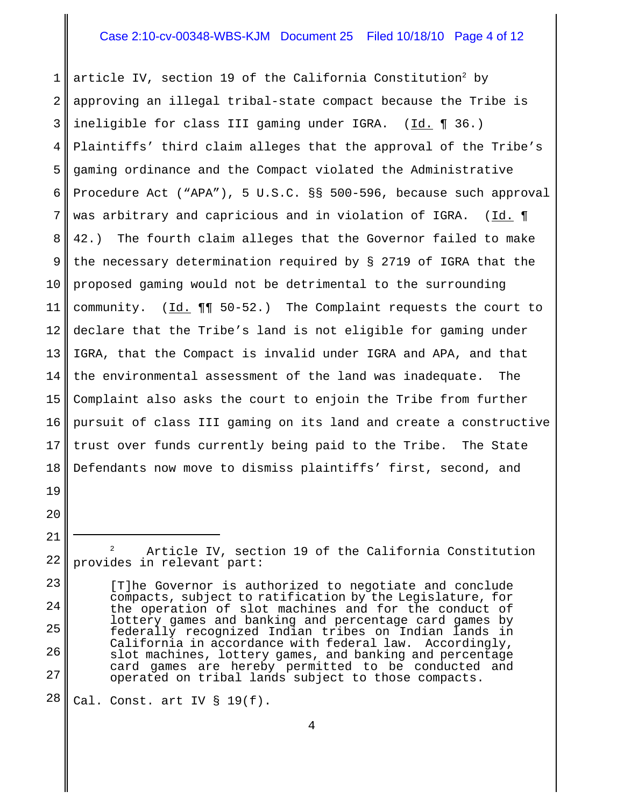## Case 2:10-cv-00348-WBS-KJM Document 25 Filed 10/18/10 Page 4 of 12

1 2 3 4 5 6 7 8 9 10 11 12 13 14 15 16 17 18 article IV, section 19 of the California Constitution<sup>2</sup> by approving an illegal tribal-state compact because the Tribe is ineligible for class III gaming under IGRA. (Id. ¶ 36.) Plaintiffs' third claim alleges that the approval of the Tribe's gaming ordinance and the Compact violated the Administrative Procedure Act ("APA"), 5 U.S.C. §§ 500-596, because such approval was arbitrary and capricious and in violation of IGRA. ( $\underline{Id.}$   $\P$ 42.) The fourth claim alleges that the Governor failed to make the necessary determination required by § 2719 of IGRA that the proposed gaming would not be detrimental to the surrounding community.  $(\underline{Id.} \P \P \negthinspace 50-52.)$  The Complaint requests the court to declare that the Tribe's land is not eligible for gaming under IGRA, that the Compact is invalid under IGRA and APA, and that the environmental assessment of the land was inadequate. The Complaint also asks the court to enjoin the Tribe from further pursuit of class III gaming on its land and create a constructive trust over funds currently being paid to the Tribe. The State Defendants now move to dismiss plaintiffs' first, second, and

22 <sup>2</sup> Article IV, section 19 of the California Constitution provides in relevant part:

- [T]he Governor is authorized to negotiate and conclude compacts, subject to ratification by the Legislature, for the operation of slot machines and for the conduct of lottery games and banking and percentage card games by federally recognized Indian tribes on Indian lands in California in accordance with federal law. Accordingly, slot machines, lottery games, and banking and percentage card games are hereby permitted to be conducted and operated on tribal lands subject to those compacts.
- 28 Cal. Const. art IV § 19(f).

19

20

21

23

24

25

26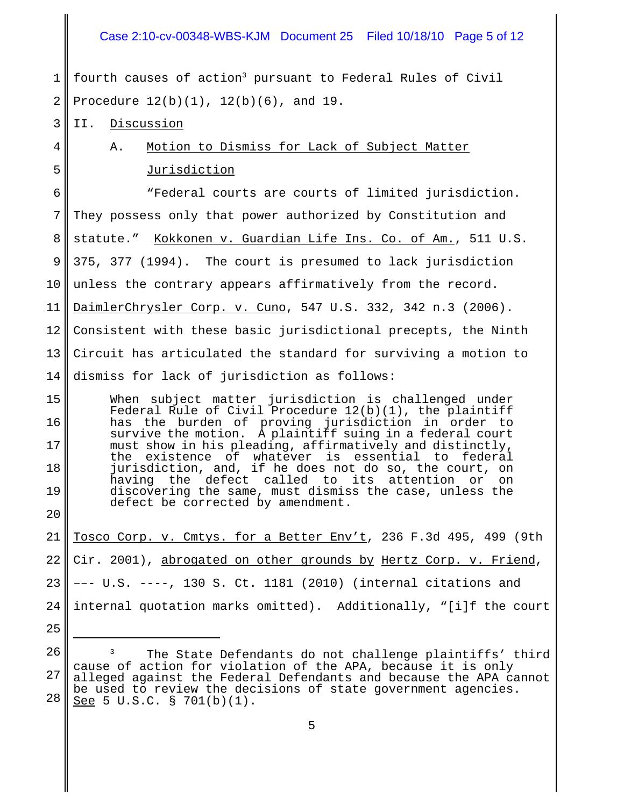# Case 2:10-cv-00348-WBS-KJM Document 25 Filed 10/18/10 Page 5 of 12

1 2 fourth causes of action<sup>3</sup> pursuant to Federal Rules of Civil Procedure 12(b)(1), 12(b)(6), and 19.

3 II. Discussion

4

5

A. Motion to Dismiss for Lack of Subject Matter Jurisdiction

6 7 8 9 10 11 12 13 14 "Federal courts are courts of limited jurisdiction. They possess only that power authorized by Constitution and statute." Kokkonen v. Guardian Life Ins. Co. of Am., 511 U.S. 375, 377 (1994). The court is presumed to lack jurisdiction unless the contrary appears affirmatively from the record. DaimlerChrysler Corp. v. Cuno, 547 U.S. 332, 342 n.3 (2006). Consistent with these basic jurisdictional precepts, the Ninth Circuit has articulated the standard for surviving a motion to dismiss for lack of jurisdiction as follows:

15 16 17 18 19 20 When subject matter jurisdiction is challenged under Federal Rule of Civil Procedure  $12(b)(1)$ , the plaintiff has the burden of proving jurisdiction in order to survive the motion. A plaintiff suing in a federal court must show in his pleading, affirmatively and distinctly, the existence of whatever is essential to federal jurisdiction, and, if he does not do so, the court, on having the defect called to its attention or on discovering the same, must dismiss the case, unless the defect be corrected by amendment.

21 22 23 24 Tosco Corp. v. Cmtys. for a Better Env't, 236 F.3d 495, 499 (9th Cir. 2001), abrogated on other grounds by Hertz Corp. v. Friend, ––- U.S. ----, 130 S. Ct. 1181 (2010) (internal citations and internal quotation marks omitted). Additionally, "[i]f the court

- 25
- 26

27

The State Defendants do not challenge plaintiffs' third cause of action for violation of the APA, because it is only alleged against the Federal Defendants and because the APA cannot be used to review the decisions of state government agencies. See 5 U.S.C. § 701(b)(1).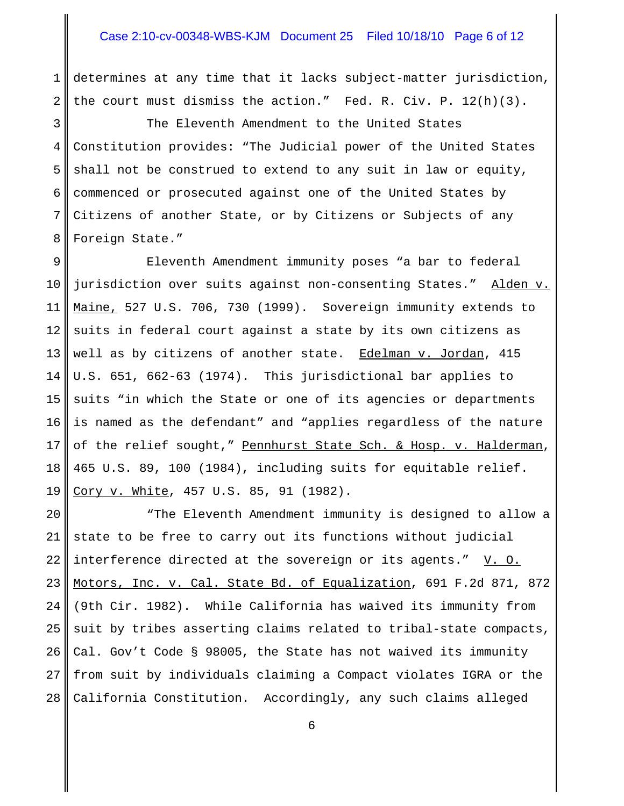#### Case 2:10-cv-00348-WBS-KJM Document 25 Filed 10/18/10 Page 6 of 12

1 2 determines at any time that it lacks subject-matter jurisdiction, the court must dismiss the action." Fed. R. Civ. P. 12(h)(3).

3 4 5 6 7 8 The Eleventh Amendment to the United States Constitution provides: "The Judicial power of the United States shall not be construed to extend to any suit in law or equity, commenced or prosecuted against one of the United States by Citizens of another State, or by Citizens or Subjects of any Foreign State."

9 10 11 12 13 14 15 16 17 18 19 Eleventh Amendment immunity poses "a bar to federal jurisdiction over suits against non-consenting States." Alden v. Maine, 527 U.S. 706, 730 (1999). Sovereign immunity extends to suits in federal court against a state by its own citizens as well as by citizens of another state. Edelman v. Jordan, 415 U.S. 651, 662-63 (1974). This jurisdictional bar applies to suits "in which the State or one of its agencies or departments is named as the defendant" and "applies regardless of the nature of the relief sought," Pennhurst State Sch. & Hosp. v. Halderman, 465 U.S. 89, 100 (1984), including suits for equitable relief. Cory v. White, 457 U.S. 85, 91 (1982).

20 21 22 23 24 25 26 27 28 "The Eleventh Amendment immunity is designed to allow a state to be free to carry out its functions without judicial interference directed at the sovereign or its agents."  $V. O.$ Motors, Inc. v. Cal. State Bd. of Equalization, 691 F.2d 871, 872 (9th Cir. 1982). While California has waived its immunity from suit by tribes asserting claims related to tribal-state compacts, Cal. Gov't Code § 98005, the State has not waived its immunity from suit by individuals claiming a Compact violates IGRA or the California Constitution. Accordingly, any such claims alleged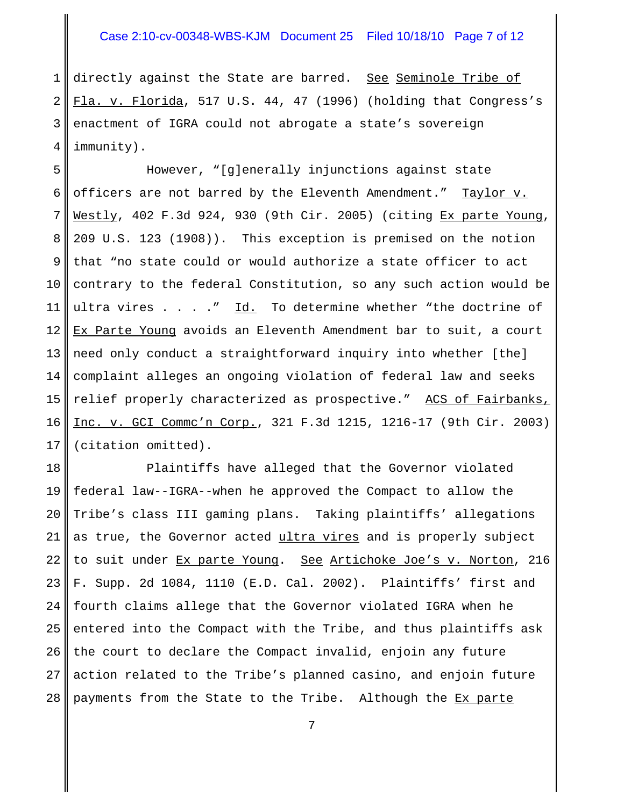# Case 2:10-cv-00348-WBS-KJM Document 25 Filed 10/18/10 Page 7 of 12

1 2 3 4 directly against the State are barred. See Seminole Tribe of Fla. v. Florida, 517 U.S. 44, 47 (1996) (holding that Congress's enactment of IGRA could not abrogate a state's sovereign immunity).

5 6 7 8 9 10 11 12 13 14 15 16 17 However, "[g]enerally injunctions against state officers are not barred by the Eleventh Amendment." Taylor v. Westly, 402 F.3d 924, 930 (9th Cir. 2005) (citing Ex parte Young, 209 U.S. 123 (1908)). This exception is premised on the notion that "no state could or would authorize a state officer to act contrary to the federal Constitution, so any such action would be ultra vires  $\ldots$  ." Id. To determine whether "the doctrine of Ex Parte Young avoids an Eleventh Amendment bar to suit, a court need only conduct a straightforward inquiry into whether [the] complaint alleges an ongoing violation of federal law and seeks relief properly characterized as prospective." ACS of Fairbanks, Inc. v. GCI Commc'n Corp., 321 F.3d 1215, 1216-17 (9th Cir. 2003) (citation omitted).

18 19 20 21 22 23 24 25 26 27 28 Plaintiffs have alleged that the Governor violated federal law--IGRA--when he approved the Compact to allow the Tribe's class III gaming plans. Taking plaintiffs' allegations as true, the Governor acted ultra vires and is properly subject to suit under Ex parte Young. See Artichoke Joe's v. Norton, 216 F. Supp. 2d 1084, 1110 (E.D. Cal. 2002). Plaintiffs' first and fourth claims allege that the Governor violated IGRA when he entered into the Compact with the Tribe, and thus plaintiffs ask the court to declare the Compact invalid, enjoin any future action related to the Tribe's planned casino, and enjoin future payments from the State to the Tribe. Although the Ex parte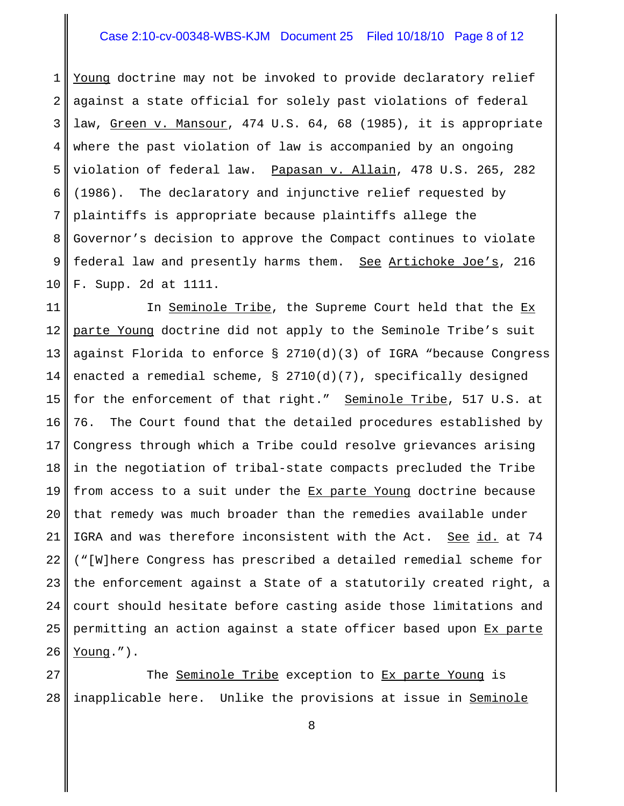# Case 2:10-cv-00348-WBS-KJM Document 25 Filed 10/18/10 Page 8 of 12

1 2 3 4 5 6 7 8 9 10 Young doctrine may not be invoked to provide declaratory relief against a state official for solely past violations of federal law, Green v. Mansour, 474 U.S. 64, 68 (1985), it is appropriate where the past violation of law is accompanied by an ongoing violation of federal law. Papasan v. Allain, 478 U.S. 265, 282 (1986). The declaratory and injunctive relief requested by plaintiffs is appropriate because plaintiffs allege the Governor's decision to approve the Compact continues to violate federal law and presently harms them. See Artichoke Joe's, 216 F. Supp. 2d at 1111.

11 12 13 14 15 16 17 18 19 20 21 22 23 24 25 26 In Seminole Tribe, the Supreme Court held that the Ex parte Young doctrine did not apply to the Seminole Tribe's suit against Florida to enforce § 2710(d)(3) of IGRA "because Congress enacted a remedial scheme,  $\S$  2710(d)(7), specifically designed for the enforcement of that right." Seminole Tribe, 517 U.S. at 76. The Court found that the detailed procedures established by Congress through which a Tribe could resolve grievances arising in the negotiation of tribal-state compacts precluded the Tribe from access to a suit under the Ex parte Young doctrine because that remedy was much broader than the remedies available under IGRA and was therefore inconsistent with the Act. See id. at 74 ("[W]here Congress has prescribed a detailed remedial scheme for the enforcement against a State of a statutorily created right, a court should hesitate before casting aside those limitations and permitting an action against a state officer based upon Ex parte Young.").

27 28 The Seminole Tribe exception to Ex parte Young is inapplicable here. Unlike the provisions at issue in Seminole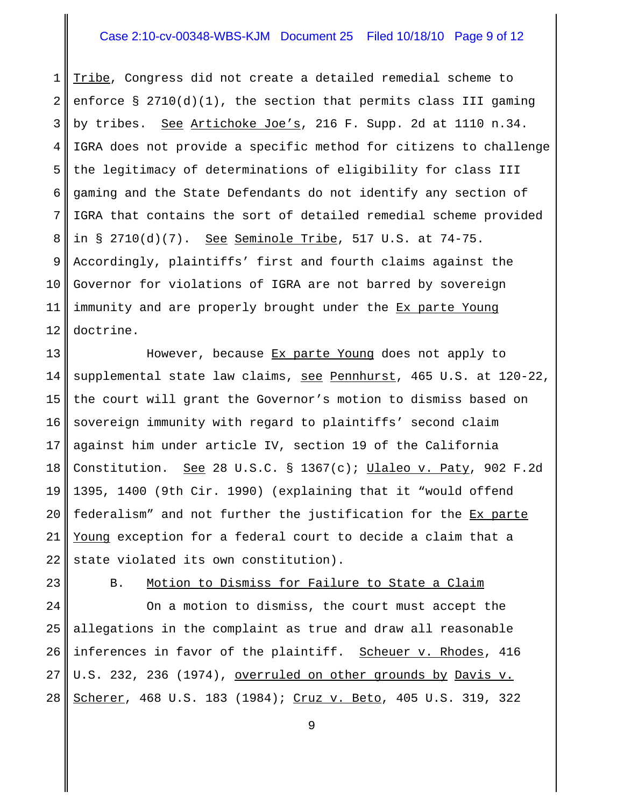# Case 2:10-cv-00348-WBS-KJM Document 25 Filed 10/18/10 Page 9 of 12

1 2 3 4 5 6 7 8 9 10 11 12 Tribe, Congress did not create a detailed remedial scheme to enforce  $\S 2710(d)(1)$ , the section that permits class III gaming by tribes. See Artichoke Joe's, 216 F. Supp. 2d at 1110 n.34. IGRA does not provide a specific method for citizens to challenge the legitimacy of determinations of eligibility for class III gaming and the State Defendants do not identify any section of IGRA that contains the sort of detailed remedial scheme provided in  $\S$  2710(d)(7). See Seminole Tribe, 517 U.S. at 74-75. Accordingly, plaintiffs' first and fourth claims against the Governor for violations of IGRA are not barred by sovereign immunity and are properly brought under the Ex parte Young doctrine.

13 14 15 16 17 18 19 20 21 22 However, because Ex parte Young does not apply to supplemental state law claims, see Pennhurst, 465 U.S. at 120-22, the court will grant the Governor's motion to dismiss based on sovereign immunity with regard to plaintiffs' second claim against him under article IV, section 19 of the California Constitution. See 28 U.S.C. § 1367(c); Ulaleo v. Paty, 902 F.2d 1395, 1400 (9th Cir. 1990) (explaining that it "would offend federalism" and not further the justification for the Ex parte Young exception for a federal court to decide a claim that a state violated its own constitution).

23

B. Motion to Dismiss for Failure to State a Claim

24 25 26 27 28 On a motion to dismiss, the court must accept the allegations in the complaint as true and draw all reasonable inferences in favor of the plaintiff. Scheuer v. Rhodes, 416 U.S. 232, 236 (1974), overruled on other grounds by Davis v. Scherer, 468 U.S. 183 (1984); Cruz v. Beto, 405 U.S. 319, 322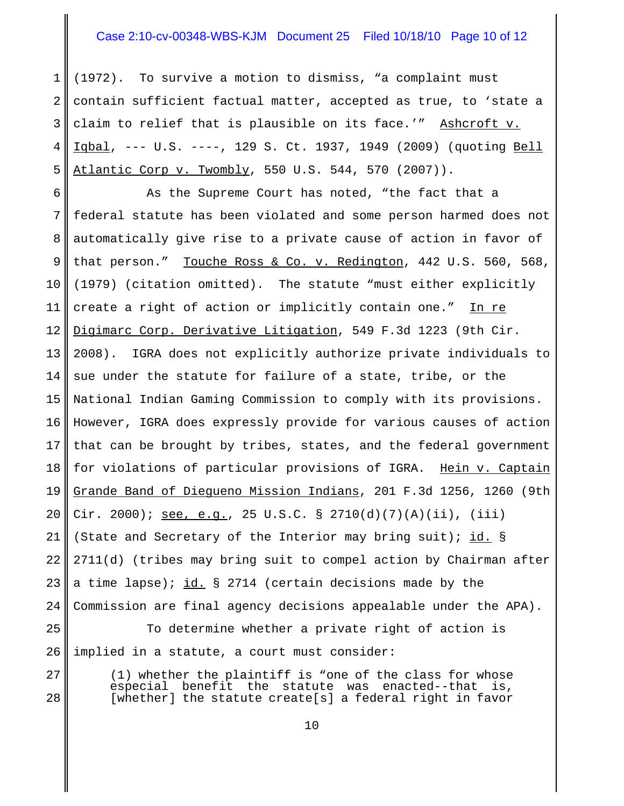## Case 2:10-cv-00348-WBS-KJM Document 25 Filed 10/18/10 Page 10 of 12

1 2 3 4 5 (1972). To survive a motion to dismiss, "a complaint must contain sufficient factual matter, accepted as true, to 'state a claim to relief that is plausible on its face.'" Ashcroft v. Iqbal, --- U.S. ----, 129 S. Ct. 1937, 1949 (2009) (quoting Bell Atlantic Corp v. Twombly, 550 U.S. 544, 570 (2007)).

6 7 8 9 10 11 12 13 14 15 16 17 18 19 20 21 22 23 24 25 As the Supreme Court has noted, "the fact that a federal statute has been violated and some person harmed does not automatically give rise to a private cause of action in favor of that person." Touche Ross & Co. v. Redington, 442 U.S. 560, 568, (1979) (citation omitted). The statute "must either explicitly create a right of action or implicitly contain one." In re Digimarc Corp. Derivative Litigation, 549 F.3d 1223 (9th Cir. 2008). IGRA does not explicitly authorize private individuals to sue under the statute for failure of a state, tribe, or the National Indian Gaming Commission to comply with its provisions. However, IGRA does expressly provide for various causes of action that can be brought by tribes, states, and the federal government for violations of particular provisions of IGRA. Hein v. Captain Grande Band of Diegueno Mission Indians, 201 F.3d 1256, 1260 (9th Cir. 2000); see, e.g., 25 U.S.C. § 2710(d)(7)(A)(ii), (iii) (State and Secretary of the Interior may bring suit); id. § 2711(d) (tribes may bring suit to compel action by Chairman after a time lapse); id. § 2714 (certain decisions made by the Commission are final agency decisions appealable under the APA). To determine whether a private right of action is

26 implied in a statute, a court must consider:

27 28

 $(1)$  whether the plaintiff is "one of the class for whose especial benefit the statute was enacted--that is, benefit the statute was enacted--that is, [whether] the statute create[s] a federal right in favor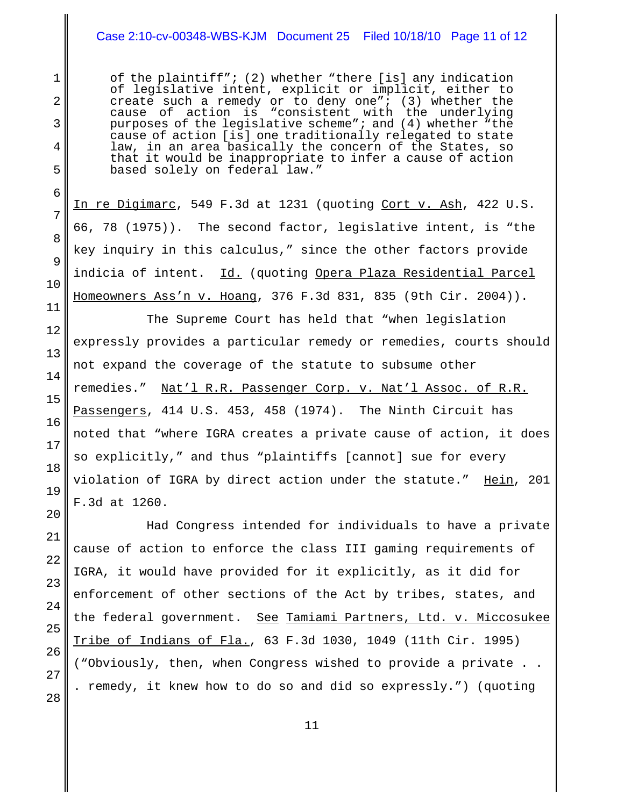# Case 2:10-cv-00348-WBS-KJM Document 25 Filed 10/18/10 Page 11 of 12

of the plaintiff"; (2) whether "there [is] any indication of legislative intent, explicit or implicit, either to create such a remedy or to deny one"; (3) whether the cause of action is "consistent with the underlying purposes of the legislative scheme"; and (4) whether "the cause of action [is] one traditionally relegated to state law, in an area basically the concern of the States, so that it would be inappropriate to infer a cause of action based solely on federal law."

In re Digimarc, 549 F.3d at 1231 (quoting Cort v. Ash, 422 U.S. 66, 78 (1975)). The second factor, legislative intent, is "the key inquiry in this calculus," since the other factors provide indicia of intent. Id. (quoting Opera Plaza Residential Parcel Homeowners Ass'n v. Hoang, 376 F.3d 831, 835 (9th Cir. 2004)).

The Supreme Court has held that "when legislation expressly provides a particular remedy or remedies, courts should not expand the coverage of the statute to subsume other remedies." Nat'l R.R. Passenger Corp. v. Nat'l Assoc. of R.R. Passengers, 414 U.S. 453, 458 (1974). The Ninth Circuit has noted that "where IGRA creates a private cause of action, it does so explicitly," and thus "plaintiffs [cannot] sue for every violation of IGRA by direct action under the statute." Hein, 201 F.3d at 1260.

Had Congress intended for individuals to have a private cause of action to enforce the class III gaming requirements of IGRA, it would have provided for it explicitly, as it did for enforcement of other sections of the Act by tribes, states, and the federal government. See Tamiami Partners, Ltd. v. Miccosukee Tribe of Indians of Fla., 63 F.3d 1030, 1049 (11th Cir. 1995) ("Obviously, then, when Congress wished to provide a private . . . remedy, it knew how to do so and did so expressly.") (quoting

28

1

2

3

4